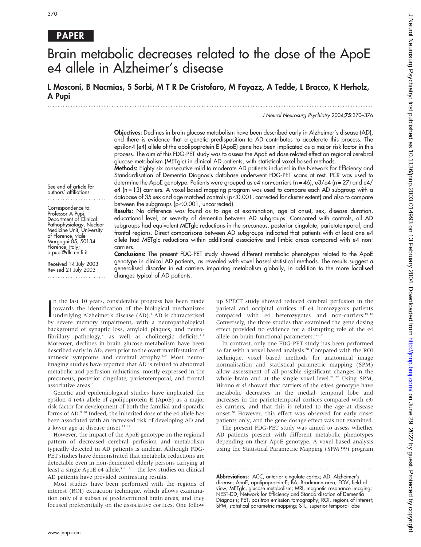# PAPER

# Brain metabolic decreases related to the dose of the ApoE e4 allele in Alzheimer's disease

L Mosconi, B Nacmias, S Sorbi, M T R De Cristofaro, M Fayazz, A Tedde, L Bracco, K Herholz, A Pupi

.............................................................................................................................. .

J Neurol Neurosurg Psychiatry 2004;75:370–376

Objectives: Declines in brain glucose metabolism have been described early in Alzheimer's disease (AD), and there is evidence that a genetic predisposition to AD contributes to accelerate this process. The epsilon4 (e4) allele of the apolipoprotein E (ApoE) gene has been implicated as a major risk factor in this process. The aim of this FDG-PET study was to assess the ApoE e4 dose related effect on regional cerebral glucose metabolism (METglc) in clinical AD patients, with statistical voxel based methods.

Methods: Eighty six consecutive mild to moderate AD patients included in the Network for Efficiency and Standardisation of Dementia Diagnosis database underwent FDG-PET scans at rest. PCR was used to determine the ApoE genotype. Patients were grouped as e4 non-carriers (n = 46), e3/e4 (n = 27) and e4/ e4 (n = 13) carriers. A voxel-based mapping program was used to compare each AD subgroup with a database of 35 sex and age matched controls ( $p<0.001$ , corrected for cluster extent) and also to compare between the subgroups  $(p<0.001$ , uncorrected).

See end of article for authors' affiliations .......................

Correspondence to: Professor A Pupi, Department of Clinical Pathophysiology, Nuclear Medicine Unit, University of Florence, viale Morgagni 85, 50134 Florence, Italy; a.pupi@dfc.unifi.it

Received 14 July 2003 Revised 21 July 2003 ....................... Results: No difference was found as to age at examination, age at onset, sex, disease duration, educational level, or severity of dementia between AD subgroups. Compared with controls, all AD subgroups had equivalent METglc reductions in the precuneus, posterior cingulate, parietotemporal, and frontal regions. Direct comparisons between AD subgroups indicated that patients with at least one e4 allele had METglc reductions within additional associative and limbic areas compared with e4 noncarriers.

Conclusions: The present FDG-PET study showed different metabolic phenotypes related to the ApoE genotype in clinical AD patients, as revealed with voxel based statistical methods. The results suggest a generalised disorder in e4 carriers impairing metabolism globally, in addition to the more localised changes typical of AD patients.

In the last 10 years, considerable progress has been made<br>towards the identification of the biological mechanisms<br>underlying Alzheimer's disease (AD).<sup>1</sup> AD is characterised<br>by covers moment impliment, with a neuronathelog n the last 10 years, considerable progress has been made towards the identification of the biological mechanisms by severe memory impairment, with a neuropathological background of synaptic loss, amyloid plaques, and neurofibrillary pathology,<sup>2</sup> as well as cholinergic deficits.<sup>34</sup> Moreover, declines in brain glucose metabolism have been described early in AD, even prior to the overt manifestation of amnesic symptoms and cerebral atrophy.<sup>5-7</sup> Most neuroimaging studies have reported that AD is related to abnormal metabolic and perfusion reductions, mostly expressed in the precuneus, posterior cingulate, parietotemporal, and frontal associative areas.<sup>8</sup>

Genetic and epidemiological studies have implicated the epsilon 4 (e4) allele of apolipoprotein E (ApoE) as a major risk factor for development of both the familial and sporadic forms of AD.9 10 Indeed, the inherited dose of the e4 allele has been associated with an increased risk of developing AD and a lower age at disease onset.<sup>11</sup> <sup>12</sup>

However, the impact of the ApoE genotype on the regional pattern of decreased cerebral perfusion and metabolism typically detected in AD patients is unclear. Although FDG-PET studies have demonstrated that metabolic reductions are detectable even in non-demented elderly persons carrying at least a single ApoE e4 allele,<sup>5 6 13 14</sup> the few studies on clinical AD patients have provided contrasting results.

Most studies have been performed with the regions of interest (ROI) extraction technique, which allows examination only of a subset of predetermined brain areas, and they focused preferentially on the associative cortices. One follow up SPECT study showed reduced cerebral perfusion in the parietal and occipital cortices of e4 homozygous patients compared with e4 heterozygotes and non-carriers.<sup>15 16</sup> Conversely, the three studies that examined the gene dosing effect provided no evidence for a disrupting role of the e4 allele on brain functional parameters.<sup>17-19</sup>

In contrast, only one FDG-PET study has been performed so far with a voxel based analysis.20 Compared with the ROI technique, voxel based methods for anatomical image normalisation and statistical parametric mapping (SPM) allow assessment of all possible significant changes in the whole brain and at the single voxel level.<sup>21</sup> <sup>22</sup> Using SPM, Hirono *et al* showed that carriers of the e4/e4 genotype have metabolic decreases in the medial temporal lobe and increases in the parietotemporal cortices compared with e3/ e3 carriers, and that this is related to the age at disease onset.<sup>20</sup> However, this effect was observed for early onset patients only, and the gene dosage effect was not examined.

The present FDG-PET study was aimed to assess whether AD patients present with different metabolic phenotypes depending on their ApoE genotype. A voxel based analysis using the Statistical Parametric Mapping (SPM'99) program

............................................................... .

Abbreviations: ACC, anterior cingulate cortex; AD, Alzheimer's disease; ApoE, apolipoprotein E; BA, Brodmann area; FOV, field of view; METglc, glucose metabolism; MRI, magnetic resonance imaging; NEST-DD, Network for Efficiency and Standardisation of Dementia Diagnosis; PET, positron emission tomography; ROI, regions of interest; SPM, statistical parametric mapping; STL, superior temporal lobe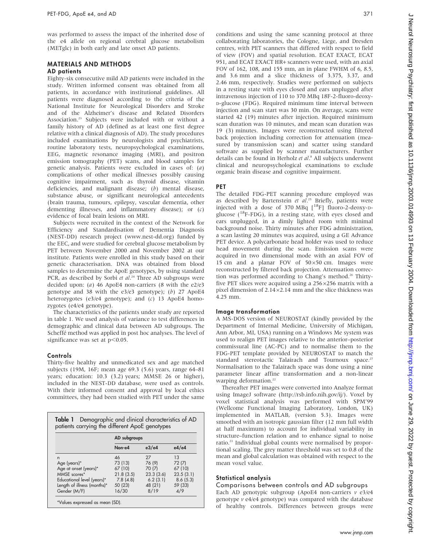was performed to assess the impact of the inherited dose of the e4 allele on regional cerebral glucose metabolism (METglc) in both early and late onset AD patients.

# MATERIALS AND METHODS

# AD patients

Eighty-six consecutive mild AD patients were included in the study. Written informed consent was obtained from all patients, in accordance with institutional guidelines. All patients were diagnosed according to the criteria of the National Institute for Neurological Disorders and Stroke and of the Alzheimer's disease and Related Disorders Association.23 Subjects were included with or without a family history of AD (defined as at least one first degree relative with a clinical diagnosis of AD). The study procedures included examinations by neurologists and psychiatrists, routine laboratory tests, neuropsychological examinations, EEG, magnetic resonance imaging (MRI), and positron emission tomography (PET) scans, and blood samples for genetic analysis. Patients were excluded in cases of: (a) complications of other medical illnesses possibly causing cognitive impairment, such as thyroid disease, vitamin deficiencies, and malignant disease; (b) mental disease, substance abuse, or significant neurological antecedents (brain trauma, tumours, epilepsy, vascular dementia, other dementing illnesses, and inflammatory disease); or (c) evidence of focal brain lesions on MRI.

Subjects were recruited in the context of the Network for Efficiency and Standardisation of Dementia Diagnosis (NEST-DD) research project (www.nest-dd.org) funded by the EEC, and were studied for cerebral glucose metabolism by PET between November 2000 and November 2002 at our institute. Patients were enrolled in this study based on their genetic characterisation. DNA was obtained from blood samples to determine the ApoE genotypes, by using standard PCR, as described by Sorbi et al.<sup>24</sup> Three AD subgroups were decided upon: (a) 46 ApoE4 non-carriers (8 with the  $e^2/e^3$ genotype and 38 with the  $e^3/e^3$  genotype); (b) 27 ApoE4 heterozygotes (e3/e4 genotype); and (c) 13 ApoE4 homozygotes (e4/e4 genotype).

The characteristics of the patients under study are reported in table 1. We used analysis of variance to test differences in demographic and clinical data between AD subgroups. The Scheffé method was applied in post hoc analyses. The level of significance was set at  $p<0.05$ .

# **Controls**

Thirty-five healthy and unmedicated sex and age matched subjects (19M, 16F; mean age 69.3 (5.6) years, range 64–81 years; education: 10.3 (3.2) years; MMSE 26 or higher), included in the NEST-DD database, were used as controls. With their informed consent and approval by local ethics committees, they had been studied with PET under the same

|                             | AD subgroups |           |           |  |  |  |
|-----------------------------|--------------|-----------|-----------|--|--|--|
|                             | Non-e4       | e3/e4     | e4/e4     |  |  |  |
| n                           | $\Delta 6$   | 27        | 1.3       |  |  |  |
| Age (years)*                | 73 (13)      | 76 (9)    | 72 (7)    |  |  |  |
| Age at onset (years)*       | 67 (10)      | 70 (7)    | 67 (10)   |  |  |  |
| MMSE scores*                | 21.8(3.5)    | 23.3(3.6) | 23.5(3.1) |  |  |  |
| Educational level (years)*  | 7.8(4.8)     | 6.2(3.1)  | 8.6(5.3)  |  |  |  |
| Length of illness (months)* | 50 (23)      | 48 (21)   | 59 (33)   |  |  |  |
| Gender (M/F)                | 16/30        | 8/19      | 4/9       |  |  |  |

conditions and using the same scanning protocol at three collaborating laboratories, the Cologne, Liege, and Dresden centres, with PET scanners that differed with respect to field of view (FOV) and spatial resolution. ECAT EXACT, ECAT 951, and ECAT EXACT HR+ scanners were used, with an axial FOV of 162, 108, and 155 mm, an in plane FWHM of 6, 8.5, and 3.6 mm and a slice thickness of 3.375, 3.37, and 2.46 mm, respectively. Studies were performed on subjects in a resting state with eyes closed and ears unplugged after intravenous injection of 110 to 370 MBq 18F-2-fluoro-deoxy-D-glucose (FDG). Required minimum time interval between injection and scan start was 30 min. On average, scans were started 42 (19) minutes after injection. Required minimum scan duration was 10 minutes, and mean scan duration was 19 (3) minutes. Images were reconstructed using filtered back projection including correction for attenuation (measured by transmission scan) and scatter using standard software as supplied by scanner manufacturers. Further details can be found in Herholz et al.<sup>8</sup> All subjects underwent clinical and neuropsychological examinations to exclude organic brain disease and cognitive impairment.

# PET

The detailed FDG-PET scanning procedure employed was as described by Bartenstein et al.<sup>25</sup> Briefly, patients were injected with a dose of 370 MBq  $\begin{bmatrix} 1^8F \\ 1 \end{bmatrix}$  fluoro-2-deoxy-pglucose  $(^{18}F-FDG)$ , in a resting state, with eyes closed and ears unplugged, in a dimly lighted room with minimal background noise. Thirty minutes after FDG administration, a scan lasting 20 minutes was acquired, using a GE Advance PET device. A polycarbonate head holder was used to reduce head movement during the scan. Emission scans were acquired in two dimensional mode with an axial FOV of 15 cm and a planar FOV of  $50\times50$  cm. Images were reconstructed by filtered back projection. Attenuation correction was performed according to Chang's method.<sup>26</sup> Thirtyfive PET slices were acquired using a  $256\times256$  matrix with a pixel dimension of  $2.14 \times 2.14$  mm and the slice thickness was 4.25 mm.

# Image transformation

A MS-DOS version of NEUROSTAT (kindly provided by the Department of Internal Medicine, University of Michigan, Ann Arbor, MI, USA) running on a Windows Me system was used to realign PET images relative to the anterior–posterior commissural line (AC-PC) and to normalise them to the FDG-PET template provided by NEUROSTAT to match the standard stereotactic Talairach and Tournoux space.<sup>27</sup> Normalisation to the Talairach space was done using a nine parameter linear affine transformation and a non-linear warping deformation.<sup>22</sup>

Thereafter PET images were converted into Analyze format using ImageJ software (http://rsb.info.nih.gov/ij/). Voxel by voxel statistical analysis was performed with SPM'99 (Wellcome Functional Imaging Laboratory, London, UK) implemented in MATLAB, (version 5.3). Images were smoothed with an isotropic gaussian filter (12 mm full width at half maximum) to account for individual variability in structure–function relation and to enhance signal to noise ratio.<sup>21</sup> Individual global counts were normalised by proportional scaling. The grey matter threshold was set to 0.8 of the mean and global calculation was obtained with respect to the mean voxel value.

# Statistical analysis

Comparisons between controls and AD subgroups Each AD genotypic subgroup (ApoE4 non-carriers  $v e^{3}/e4$ genotype v e4/e4 genotype) was compared with the database of healthy controls. Differences between groups were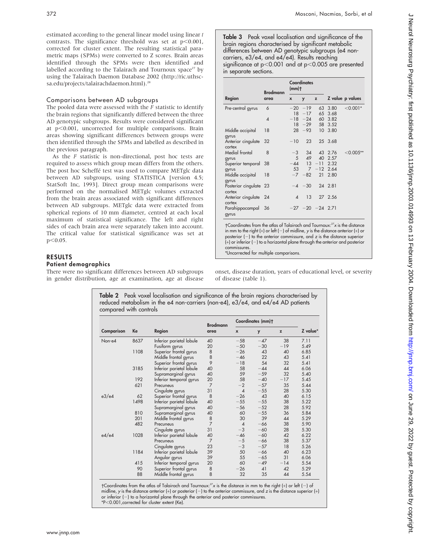estimated according to the general linear model using linear t contrasts. The significance threshold was set at  $p<0.001$ , corrected for cluster extent. The resulting statistical parametric maps (SPMs) were converted to Z scores. Brain areas identified through the SPMs were then identified and labelled according to the Talairach and Tournoux space<sup>27</sup> by using the Talairach Daemon Database 2002 (http://ric.uthscsa.edu/projects/talairachdaemon.html).<sup>26</sup>

### Comparisons between AD subgroups

The pooled data were assessed with the  $\overline{F}$  statistic to identify the brain regions that significantly differed between the three AD genotypic subgroups. Results were considered significant at  $p<0.001$ , uncorrected for multiple comparisons. Brain areas showing significant differences between groups were then identified through the SPMs and labelled as described in the previous paragraph.

As the  $F$  statistic is non-directional, post hoc tests are required to assess which group mean differs from the others. The post hoc Scheffé test was used to compare METglc data between AD subgroups, using STATISTICA [version 4.5; StatSoft Inc, 1993]. Direct group mean comparisons were performed on the normalised METglc volumes extracted from the brain areas associated with significant differences between AD subgroups. METglc data were extracted from spherical regions of 10 mm diameter, centred at each local maximum of statistical significance. The left and right sides of each brain area were separately taken into account. The critical value for statistical significance was set at  $p<0.05$ .

# RESULTS

# Patient demographics

There were no significant differences between AD subgroups in gender distribution, age at examination, age at disease

|                                                                                                                                                                                                                                                                                                                                                                                                        | Brodmann<br>area | <b>Coordinates</b><br>$(mm)$ <sup>+</sup> |                 |                      |              |                  |  |
|--------------------------------------------------------------------------------------------------------------------------------------------------------------------------------------------------------------------------------------------------------------------------------------------------------------------------------------------------------------------------------------------------------|------------------|-------------------------------------------|-----------------|----------------------|--------------|------------------|--|
| Region                                                                                                                                                                                                                                                                                                                                                                                                 |                  | $\boldsymbol{x}$                          | y               | z                    |              | Z value p values |  |
| Pre-central gyrus                                                                                                                                                                                                                                                                                                                                                                                      | $\overline{6}$   | $-20$                                     | $-19$           | 63                   | 3.80         | $< 0.001*$       |  |
|                                                                                                                                                                                                                                                                                                                                                                                                        |                  | 18                                        | $-17$           | 65                   | 3.68         |                  |  |
|                                                                                                                                                                                                                                                                                                                                                                                                        | $\overline{A}$   | $-18$<br>18                               | $-24$<br>$-29$  | 60<br>58             | 3.82<br>3.52 |                  |  |
| Middle occipital<br>gyrus                                                                                                                                                                                                                                                                                                                                                                              | 18               | 28                                        | $-93$           | $10-10$              | 3.80         |                  |  |
| Anterior cingulate<br>cortex                                                                                                                                                                                                                                                                                                                                                                           | 32               | $-10$                                     | 23              |                      | 25 3.68      |                  |  |
| Medial frontal                                                                                                                                                                                                                                                                                                                                                                                         | 8                | $-3$                                      | 34              |                      | 43 2.76      | $<$ 0.005**      |  |
| gyrus                                                                                                                                                                                                                                                                                                                                                                                                  |                  | 5                                         | 49              | 40                   | 2.57         |                  |  |
| Superior temporal                                                                                                                                                                                                                                                                                                                                                                                      | 38               | $-44$                                     | 13 <sup>7</sup> | $-11$                | 2.32         |                  |  |
| gyrus                                                                                                                                                                                                                                                                                                                                                                                                  |                  | 53                                        | $\overline{7}$  | $-12$                | 2.64         |                  |  |
| Middle occipital<br>gyrus                                                                                                                                                                                                                                                                                                                                                                              | 18               | $-7$                                      | $-82$           | 21                   | 2.80         |                  |  |
| Posterior cingulate 23<br>cortex                                                                                                                                                                                                                                                                                                                                                                       |                  |                                           | $-4$ $-30$      |                      | 24 2.81      |                  |  |
| Anterior cingulate 24<br>cortex                                                                                                                                                                                                                                                                                                                                                                        |                  | $\Delta$                                  | $13 -$          |                      | 27 2.56      |                  |  |
| Parahippocampal<br>gyrus                                                                                                                                                                                                                                                                                                                                                                               | - 36             |                                           |                 | $-27 - 20 - 24$ 2.71 |              |                  |  |
| $\uparrow$ Coordinates from the atlas of Talairach and Tournoux: $^{27}x$ is the distance<br>in mm to the right (+) or left (-) of midline, y is the distance anterior (+) or<br>posterior $(-)$ to the anterior commissure, and z is the distance superior<br>$(+)$ or inferior $(-)$ to a horizontal plane through the anterior and posterior<br>commissures.<br>بالمناط والمستحدث والمستحدث والنافخ |                  |                                           |                 |                      |              |                  |  |

Uncorrected tor multiple comparisons

onset, disease duration, years of educational level, or severity of disease (table 1).

| Comparison                                   | Ke   | Region                   | <b>Brodmann</b><br>area | Coordinates (mm)+ |       |       |          |
|----------------------------------------------|------|--------------------------|-------------------------|-------------------|-------|-------|----------|
|                                              |      |                          |                         | $\boldsymbol{x}$  | y     | z     | Z value* |
| 8637<br>Non-e4<br>1108<br>3185<br>192<br>621 |      | Inferior parietal lobule | 40                      | $-58$             | $-47$ | 38    | 7.11     |
|                                              |      | Fusiform gyrus           | 20                      | $-50$             | $-30$ | $-19$ | 5.49     |
|                                              |      | Superior frontal gyrus   | 8                       | $-26$             | 43    | 40    | 6.85     |
|                                              |      | Middle frontal gyrus     | 8                       | $-46$             | 22    | 43    | 5.41     |
|                                              |      | Superior frontal gyrus   | 9                       | $-18$             | 54    | 32    | 5.41     |
|                                              |      | Inferior parietal lobule | 40                      | 58                | $-44$ | 44    | 6.06     |
|                                              |      | Supramarginal gyrus      | 40                      | 59                | $-59$ | 32    | 5.40     |
|                                              |      | Inferior temporal gyrus  | 20                      | 58                | $-40$ | $-17$ | 5.45     |
|                                              |      | Precuneus                | $\overline{7}$          | $-2$              | $-57$ | 35    | 5.44     |
|                                              |      | Cingulate gyrus          | 31                      | $\overline{A}$    | $-55$ | 28    | 5.30     |
| e3/e4                                        | 62   | Superior frontal gyrus   | 8                       | $-26$             | 43    | 40    | 6.15     |
|                                              | 1498 | Inferior parietal lobule | 40                      | $-55$             | $-55$ | 38    | 5.22     |
|                                              |      | Supramarginal gyrus      | 40                      | $-56$             | $-52$ | 28    | 5.92     |
|                                              | 810  | Supramarginal gyrus      | 40                      | 60                | $-55$ | 36    | 5.84     |
|                                              | 201  | Middle frontal gyrus     | 8                       | 30                | 39    | 44    | 5.29     |
|                                              | 482  | Precuneus                | $\overline{7}$          | $\overline{4}$    | $-66$ | 38    | 5.90     |
|                                              |      | Cingulate gyrus          | 31                      | $-3$              | $-60$ | 28    | 5.30     |
| e4/e4                                        | 1028 | Interior parietal lobule | 40                      | $-46$             | $-60$ | 42    | 6.22     |
|                                              |      | Precuneus                | $\overline{7}$          | $-5$              | $-66$ | 38    | 5.37     |
|                                              |      | Cingulate gyrus          | 23                      | $-3$              | $-57$ | 18    | 5.26     |
|                                              | 1184 | Inferior parietal lobule | 39                      | 50                | $-66$ | 40    | 6.23     |
|                                              |      | Angular gyrus            | 39                      | 55                | $-65$ | 31    | 6.06     |
|                                              | 415  | Inferior temporal gyrus  | 20                      | 60                | $-49$ | $-14$ | 5.54     |
|                                              | 90   | Superior frontal gyrus   | 8                       | $-26$             | 41    | 42    | 5.29     |
|                                              | 88   | Middle frontal gyrus     | 8                       | 32                | 35    | 44    | 5.54     |

Table 2 Peak voxel localisation and significance of the brain regions characterised by

†Coordinates from the atlas of Talairach and Tournoux: $^{27}x$  is the distance in mm to the right (+) or left (–) of midline, y is the distance anterior (+) or posterior (-) to the anterior commissure, and z is the distance superior (+) or inferior (-) to a horizontal plane through the anterior and posterior commissures. \*P,0.001,corrected for cluster extent (Ke).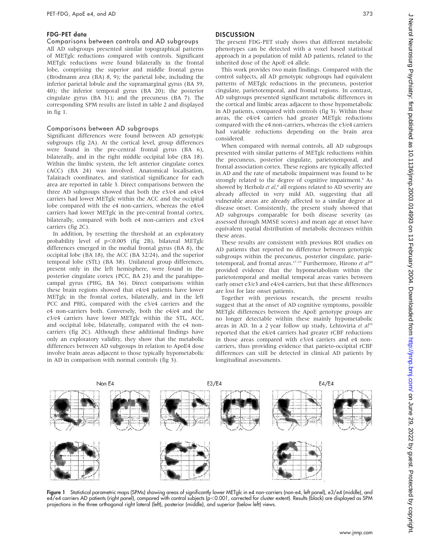#### FDG-PET data

#### Comparisons between controls and AD subgroups

All AD subgroups presented similar topographical patterns of METglc reductions compared with controls. Significant METglc reductions were found bilaterally in the frontal lobe, comprising the superior and middle frontal gyrus (Brodmann area (BA) 8, 9); the parietal lobe, including the inferior parietal lobule and the supramarginal gyrus (BA 39, 40); the inferior temporal gyrus (BA 20); the posterior cingulate gyrus (BA 31); and the precuneus (BA 7). The corresponding SPM results are listed in table 2 and displayed in fig 1.

#### Comparisons between AD subgroups

Significant differences were found between AD genotypic subgroups (fig 2A). At the cortical level, group differences were found in the pre-central frontal gyrus (BA 6), bilaterally, and in the right middle occipital lobe (BA 18). Within the limbic system, the left anterior cingulate cortex (ACC) (BA 24) was involved. Anatomical localisation, Talairach coordinates, and statistical significance for each area are reported in table 3. Direct comparisons between the three AD subgroups showed that both the e3/e4 and e4/e4 carriers had lower METglc within the ACC and the occipital lobe compared with the e4 non-carriers, whereas the e4/e4 carriers had lower METglc in the pre-central frontal cortex, bilaterally, compared with both e4 non-carriers and e3/e4 carriers (fig 2C).

In addition, by resetting the threshold at an exploratory probability level of  $p<0.005$  (fig 2B), bilateral METglc differences emerged in the medial frontal gyrus (BA 8), the occipital lobe (BA 18), the ACC (BA 32/24), and the superior temporal lobe (STL) (BA 38). Unilateral group differences, present only in the left hemisphere, were found in the posterior cingulate cortex (PCC, BA 23) and the parahippocampal gyrus (PHG, BA 36). Direct comparisons within these brain regions showed that e4/e4 patients have lower METglc in the frontal cortex, bilaterally, and in the left PCC and PHG, compared with the e3/e4 carriers and the e4 non-carriers both. Conversely, both the e4/e4 and the e3/e4 carriers have lower METglc within the STL, ACC, and occipital lobe, bilaterally, compared with the e4 noncarriers (fig 2C). Although these additional findings have only an exploratory validity, they show that the metabolic differences between AD subgroups in relation to ApoE4 dose involve brain areas adjacent to those typically hypometabolic in AD in comparison with normal controls (fig 3).

# **DISCUSSION**

The present FDG-PET study shows that different metabolic phenotypes can be detected with a voxel based statistical approach in a population of mild AD patients, related to the inherited dose of the ApoE e4 allele.

This work provides two main findings. Compared with the control subjects, all AD genotypic subgroups had equivalent patterns of METglc reductions in the precuneus, posterior cingulate, parietotemporal, and frontal regions. In contrast, AD subgroups presented significant metabolic differences in the cortical and limbic areas adjacent to those hypometabolic in AD patients, compared with controls (fig 3). Within those areas, the e4/e4 carriers had greater METglc reductions compared with the e4 non-carriers, whereas the e3/e4 carriers had variable reductions depending on the brain area considered.

When compared with normal controls, all AD subgroups presented with similar patterns of METglc reductions within the precuneus, posterior cingulate, parietotemporal, and frontal association cortex. These regions are typically affected in AD and the rate of metabolic impairment was found to be strongly related to the degree of cognitive impairment.<sup>8</sup> As showed by Herholz et al,<sup>8</sup> all regions related to AD severity are already affected in very mild AD, suggesting that all vulnerable areas are already affected to a similar degree at disease onset. Consistently, the present study showed that AD subgroups comparable for both disease severity (as assessed through MMSE scores) and mean age at onset have equivalent spatial distribution of metabolic decreases within these areas.

These results are consistent with previous ROI studies on AD patients that reported no difference between genotypic subgroups within the precuneus, posterior cingulate, parietotemporal, and frontal areas.<sup>17-19</sup> Furthermore, Hirono et  $aI^{20}$ provided evidence that the hypometabolism within the parietotemporal and medial temporal areas varies between early onset e3/e3 and e4/e4 carriers, but that these differences are lost for late onset patients.

Together with previous research, the present results suggest that at the onset of AD cognitive symptoms, possible METglc differences between the ApoE genotype groups are no longer detectable within these mainly hypometabolic areas in AD. In a 2 year follow up study, Lehtovirta et  $al^{16}$ reported that the e4/e4 carriers had greater rCBF reductions in those areas compared with e3/e4 carriers and e4 noncarriers, thus providing evidence that parieto-occipital rCBF differences can still be detected in clinical AD patients by longitudinal assessments.



Figure 1 Statistical parametric maps (SPMs) showing areas of significantly lower METglc in e4 non-carriers (non-e4, left panel), e3/e4 (middle), and e4/e4 carriers AD patients (right panel), compared with control subjects (p<0.001, corrected for cluster extent). Results (black) are displayed as SPM projections in the three orthogonal right lateral (left), posterior (middle), and superior (below left) views.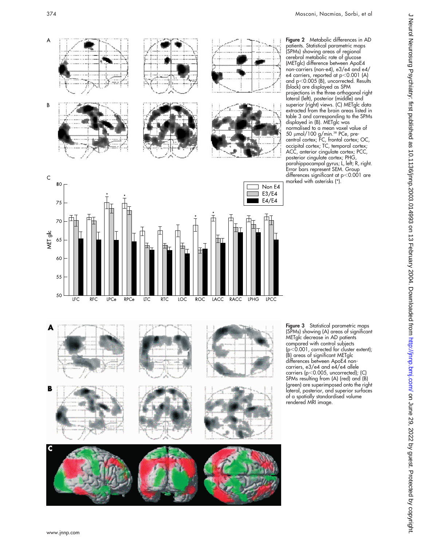$\overline{A}$ 

 $\sf B$ 

 $\mathsf{C}$ 80

MET glc 65

75

70

60

55

50

F

B



patients. Statistical parametric maps (SPMs) showing areas of regional cerebral metabolic rate of glucose (METglc) difference between ApoE4 non-carriers (non-e4), e3/e4 and e4/ e4 carriers, reported at p<0.001 (A) and  $p<$  0.005 (B), uncorrected. Results (black) are displayed as SPM projections in the three orthogonal right lateral (left), posterior (middle) and superior (right) views. (C) METglc data extracted from the brain areas listed in table 3 and corresponding to the SPMs displayed in (B). METglc was normalised to a mean voxel value of 50 μmol/100 g/min.<sup>38</sup> PCe, precentral cortex; FC, frontal cortex; OC, occipital cortex; TC, temporal cortex; ACC, anterior cingulate cortex; PCC, posterior cingulate cortex; PHG, parahippocampal gyrus; L, left; R, right. Error bars represent SEM. Group differences significant at p ,0.001 are

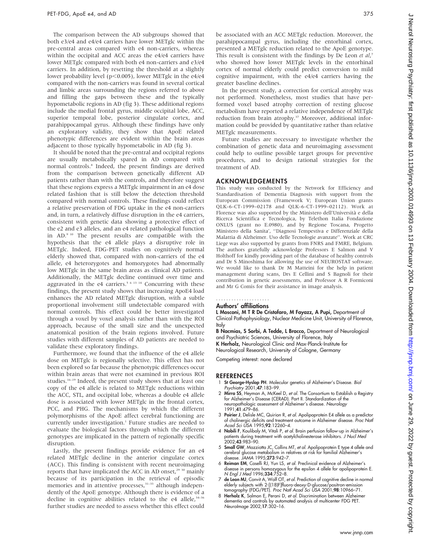The comparison between the AD subgroups showed that both e3/e4 and e4/e4 carriers have lower METglc within the pre-central areas compared with e4 non-carriers, whereas within the occipital and ACC areas the e4/e4 carriers have lower METglc compared with both e4 non-carriers and e3/e4 carriers. In addition, by resetting the threshold at a slightly lower probability level ( $p<0.005$ ), lower METglc in the e4/e4 compared with the non-carriers was found in several cortical and limbic areas surrounding the regions referred to above and filling the gaps between these and the typically hypometabolic regions in AD (fig 3). These additional regions include the medial frontal gyrus, middle occipital lobe, ACC, superior temporal lobe, posterior cingulate cortex, and parahippocampal gyrus. Although these findings have only an exploratory validity, they show that ApoE related phenotypic differences are evident within the brain areas adjacent to those typically hypometabolic in AD (fig 3).

It should be noted that the pre-central and occipital regions are usually metabolically spared in AD compared with normal controls.8 Indeed, the present findings are derived from the comparison between genetically different AD patients rather than with the controls, and therefore suggest that these regions express a METglc impairment in an e4 dose related fashion that is still below the detection threshold compared with normal controls. These findings could reflect a relative preservation of FDG uptake in the e4 non-carriers and, in turn, a relatively diffuse disruption in the e4 carriers, consistent with genetic data showing a protective effect of the e2 and e3 alleles, and an e4 related pathological function in AD.9 10 The present results are compatible with the hypothesis that the e4 allele plays a disruptive role in METglc. Indeed, FDG-PET studies on cognitively normal elderly showed that, compared with non-carriers of the e4 allele, e4 heterozygotes and homozygotes had abnormally low METglc in the same brain areas as clinical AD patients. Additionally, the METglc decline continued over time and aggravated in the e4 carriers.<sup>5 6 13 14</sup> Concurring with these findings, the present study shows that increasing ApoE4 load enhances the AD related METglc disruption, with a subtle proportional involvement still undetectable compared with normal controls. This effect could be better investigated through a voxel by voxel analysis rather than with the ROI approach, because of the small size and the unexpected anatomical position of the brain regions involved. Future studies with different samples of AD patients are needed to validate these exploratory findings.

Furthermore, we found that the influence of the e4 allele dose on METglc is regionally selective. This effect has not been explored so far because the phenotypic differences occur within brain areas that were not examined in previous ROI studies.<sup>16–19</sup> Indeed, the present study shows that at least one copy of the e4 allele is related to METglc reductions within the ACC, STL, and occipital lobe, whereas a double e4 allele dose is associated with lower METglc in the frontal cortex, PCC, and PHG. The mechanisms by which the different polymorphisms of the ApoE affect cerebral functioning are currently under investigation.<sup>1</sup> Future studies are needed to evaluate the biological factors through which the different genotypes are implicated in the pattern of regionally specific disruption.

Lastly, the present findings provide evidence for an e4 related METglc decline in the anterior cingulate cortex (ACC). This finding is consistent with recent neuroimaging reports that have implicated the ACC in AD onset,<sup>29 30</sup> mainly because of its participation in the retrieval of episodic memories and in attentive processes,<sup>31-33</sup> although independently of the ApoE genotype. Although there is evidence of a decline in cognitive abilities related to the e4 allele,  $34-36$ further studies are needed to assess whether this effect could be associated with an ACC METglc reduction. Moreover, the parahippocampal gyrus, including the entorhinal cortex, presented a METglc reduction related to the ApoE genotype. This result is consistent with the findings by De Leon et  $al$ ,<sup>7</sup> who showed how lower METglc levels in the entorhinal cortex of normal elderly could predict conversion to mild cognitive impairment, with the e4/e4 carriers having the greater baseline declines.

In the present study, a correction for cortical atrophy was not performed. Nonetheless, most studies that have performed voxel based atrophy correction of resting glucose metabolism have reported a relative independence of METglc reduction from brain atrophy.<sup>37</sup> Moreover, additional information could be provided by quantitative rather than relative METglc measurements.

Future studies are necessary to investigate whether the combination of genetic data and neuroimaging assessment could help to outline possible target groups for preventive procedures, and to design rational strategies for the treatment of AD.

## ACKNOWLEDGEMENTS

This study was conducted by the Network for Efficiency and Standardisation of Dementia Diagnosis with support from the European Commission (Framework V; European Union grants QLK-6-CT-1999–02178 and QLK-6-CT-1999–02112). Work at Florence was also supported by the Ministero dell'Universita` e della Ricerca Scientifica e Tecnologica, by Telethon Italia Fondazione ONLUS (grant no E.0980), and by Regione Toscana, Progetto Ministero della Sanita', ''Diagnosi Tempestiva e Differenziale della Malattia di Alzheimer. Uso delle Tecnologie avanzate''. Work at CRC Liege was also supported by grants from FNRS and FMRE, Belgium. The authors gratefully acknowledge Professors E Salmon and V Holthoff for kindly providing part of the database of healthy controls and Dr S Minoshima for allowing the use of NEUROSTAT software. We would like to thank Dr M Matteini for the help in patient management during scans, Drs E Cellini and S Bagnoli for their contribution in genetic assessments, and Professor A R Formiconi and Mr G Comis for their assistance in image analysis.

# .....................

Authors' affiliations

L Mosconi, M T R De Cristofaro, M Fayazz, A Pupi, Department of Clinical Pathophysiology, Nuclear Medicine Unit, University of Florence, Italy

B Nacmias, S Sorbi, A Tedde, L Bracco, Department of Neurological and Psychiatric Sciences, University of Florence, Italy K Herholz, Neurological Clinic and Max-Planck-Institute for Neurological Research, University of Cologne, Germany

Competing interest: none declared

#### REFERENCES

- 1 St George-Hyslop PH. Molecular genetics of Alzheimer's Disease. Biol Psychiatry 2001;47:183–99.
- 2 Mirra SS, Heyman A, McKeel D, et al. The Consortium to Establish a Registry for Alzheimer's Disease (CERAD). Part II. Standardization of the neuropathologic assessment of Alzheimer's disease. Neurology 1991;41:479–86.
- 3 Poirier J, Delisle MC, Quirion R, et al. Apolipoprotein E4 allele as a predictor of cholinergic deficits and treatment outcome in Alzheimer disease. *Proc Nat*<br>Acad Sci USA 1995;**92**:12260–4.
- 4 Nobili F, Koulibaly M, Vitali P, et al. Brain perfusion follow-up in Alzheimer's patients during treatment with acetylcholinesterase inhibitors. J Nucl Mec<br>2002;**43**:983–90.
- 5 **Small GW**, Mazziotta JC, Collins MT, *et al.* Apolipoprotein E type 4 allele and<br>cerebral glucose metabolism in relatives at risk for familial Alzheimer's<br>disease. JAMA 1995;**273**:942–7.
- 6 Reiman EM, Caselli RJ, Yun LS, et al. Preclinical evidence of Alzheimer's disease in persons homozygous for the epsilon 4 allele for apolipoprotein E. N Engl J Med 1996;334:752–8.
- 7 de Leon MJ, Convit A, Wolf OT, et al. Prediction of cognitive decline in normal elderly subjects with 2-[(18)F]fluoro-deoxy-D-glucose/positron-emission tomography (FDG/PET). Proc Natl Acad Sci USA 2001;98:10966–71.
- 8 Herholz K, Salmon E, Perani D, et al. Discrimination between Alzheimer dementia and controls by automated analysis of multicenter FDG PET. NeuroImage 2002;17:302–16.